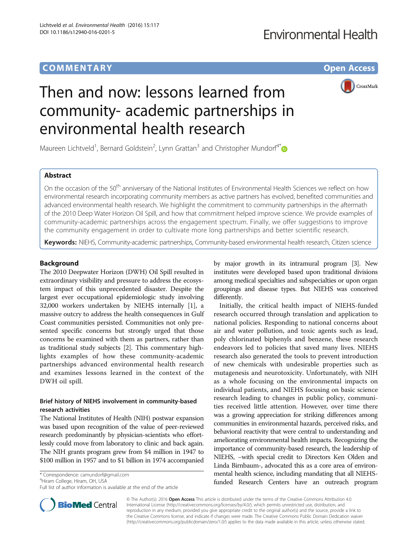## COMM EN TARY Open Access



# Then and now: lessons learned from community- academic partnerships in environmental health research

Maureen Lichtveld<sup>1</sup>, Bernard Goldstein<sup>2</sup>, Lynn Grattan<sup>3</sup> and Christopher Mundorf<sup>4\*</sup>

## Abstract

On the occasion of the 50<sup>th</sup> anniversary of the National Institutes of Environmental Health Sciences we reflect on how environmental research incorporating community members as active partners has evolved, benefited communities and advanced environmental health research. We highlight the commitment to community partnerships in the aftermath of the 2010 Deep Water Horizon Oil Spill, and how that commitment helped improve science. We provide examples of community-academic partnerships across the engagement spectrum. Finally, we offer suggestions to improve the community engagement in order to cultivate more long partnerships and better scientific research.

Keywords: NIEHS, Community-academic partnerships, Community-based environmental health research, Citizen science

## Background

The 2010 Deepwater Horizon (DWH) Oil Spill resulted in extraordinary visibility and pressure to address the ecosystem impact of this unprecedented disaster. Despite the largest ever occupational epidemiologic study involving 32,000 workers undertaken by NIEHS internally [[1\]](#page-3-0), a massive outcry to address the health consequences in Gulf Coast communities persisted. Communities not only presented specific concerns but strongly urged that those concerns be examined with them as partners, rather than as traditional study subjects [\[2\]](#page-3-0). This commentary highlights examples of how these community-academic partnerships advanced environmental health research and examines lessons learned in the context of the DWH oil spill.

## Brief history of NIEHS involvement in community-based research activities

The National Institutes of Health (NIH) postwar expansion was based upon recognition of the value of peer-reviewed research predominantly by physician-scientists who effortlessly could move from laboratory to clinic and back again. The NIH grants program grew from \$4 million in 1947 to \$100 million in 1957 and to \$1 billion in 1974 accompanied

\* Correspondence: [camundorf@gmail.com](mailto:camundorf@gmail.com) <sup>4</sup>

<sup>4</sup>Hiram College, Hiram, OH, USA

Full list of author information is available at the end of the article

by major growth in its intramural program [\[3\]](#page-3-0). New institutes were developed based upon traditional divisions among medical specialties and subspecialties or upon organ groupings and disease types. But NIEHS was conceived differently.

Initially, the critical health impact of NIEHS-funded research occurred through translation and application to national policies. Responding to national concerns about air and water pollution, and toxic agents such as lead, poly chlorinated biphenyls and benzene, these research endeavors led to policies that saved many lives. NIEHS research also generated the tools to prevent introduction of new chemicals with undesirable properties such as mutagenesis and neurotoxicity. Unfortunately, with NIH as a whole focusing on the environmental impacts on individual patients, and NIEHS focusing on basic science research leading to changes in public policy, communities received little attention. However, over time there was a growing appreciation for striking differences among communities in environmental hazards, perceived risks, and behavioral reactivity that were central to understanding and ameliorating environmental health impacts. Recognizing the importance of community-based research, the leadership of NIEHS, −with special credit to Directors Ken Olden and Linda Birnbaum-, advocated this as a core area of environmental health science, including mandating that all NIEHSfunded Research Centers have an outreach program



© The Author(s). 2016 Open Access This article is distributed under the terms of the Creative Commons Attribution 4.0 International License [\(http://creativecommons.org/licenses/by/4.0/](http://creativecommons.org/licenses/by/4.0/)), which permits unrestricted use, distribution, and reproduction in any medium, provided you give appropriate credit to the original author(s) and the source, provide a link to the Creative Commons license, and indicate if changes were made. The Creative Commons Public Domain Dedication waiver [\(http://creativecommons.org/publicdomain/zero/1.0/](http://creativecommons.org/publicdomain/zero/1.0/)) applies to the data made available in this article, unless otherwise stated.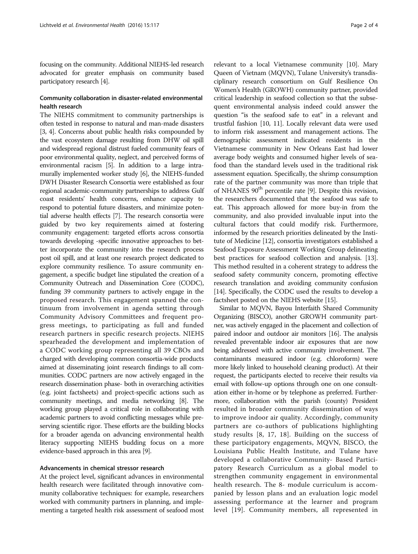focusing on the community. Additional NIEHS-led research advocated for greater emphasis on community based participatory research [\[4](#page-3-0)].

## Community collaboration in disaster-related environmental health research

The NIEHS commitment to community partnerships is often tested in response to natural and man-made disasters [[3](#page-3-0), [4\]](#page-3-0). Concerns about public health risks compounded by the vast ecosystem damage resulting from DHW oil spill and widespread regional distrust fueled community fears of poor environmental quality, neglect, and perceived forms of environmental racism [[5](#page-3-0)]. In addition to a large intramurally implemented worker study [[6\]](#page-3-0), the NIEHS-funded DWH Disaster Research Consortia were established as four regional academic-community partnerships to address Gulf coast residents' health concerns, enhance capacity to respond to potential future disasters, and minimize potential adverse health effects [\[7](#page-3-0)]. The research consortia were guided by two key requirements aimed at fostering community engagement: targeted efforts across consortia towards developing -specific innovative approaches to better incorporate the community into the research process post oil spill, and at least one research project dedicated to explore community resilience. To assure community engagement, a specific budget line stipulated the creation of a Community Outreach and Dissemination Core (CODC), funding 39 community partners to actively engage in the proposed research. This engagement spanned the continuum from involvement in agenda setting through Community Advisory Committees and frequent progress meetings, to participating as full and funded research partners in specific research projects. NIEHS spearheaded the development and implementation of a CODC working group representing all 39 CBOs and charged with developing common consortia-wide products aimed at disseminating joint research findings to all communities. CODC partners are now actively engaged in the research dissemination phase- both in overarching activities (e.g. joint factsheets) and project-specific actions such as community meetings, and media networking [\[8](#page-3-0)]. The working group played a critical role in collaborating with academic partners to avoid conflicting messages while preserving scientific rigor. These efforts are the building blocks for a broader agenda on advancing environmental health literacy supporting NIEHS budding focus on a more evidence-based approach in this area [\[9\]](#page-3-0).

#### Advancements in chemical stressor research

At the project level, significant advances in environmental health research were facilitated through innovative community collaborative techniques: for example, researchers worked with community partners in planning, and implementing a targeted health risk assessment of seafood most

relevant to a local Vietnamese community [[10\]](#page-3-0). Mary Queen of Vietnam (MQVN), Tulane University's transdisciplinary research consortium on Gulf Resilience On Women's Health (GROWH) community partner, provided critical leadership in seafood collection so that the subsequent environmental analysis indeed could answer the question "is the seafood safe to eat" in a relevant and trustful fashion [[10](#page-3-0), [11](#page-3-0)]. Locally relevant data were used to inform risk assessment and management actions. The demographic assessment indicated residents in the Vietnamese community in New Orleans East had lower average body weights and consumed higher levels of seafood than the standard levels used in the traditional risk assessment equation. Specifically, the shrimp consumption rate of the partner community was more than triple that of NHANES 90<sup>th</sup> percentile rate [\[9](#page-3-0)]. Despite this revision, the researchers documented that the seafood was safe to eat. This approach allowed for more buy-in from the community, and also provided invaluable input into the cultural factors that could modify risk. Furthermore, informed by the research priorities delineated by the Institute of Medicine [\[12\]](#page-3-0), consortia investigators established a Seafood Exposure Assessment Working Group delineating best practices for seafood collection and analysis. [[13](#page-3-0)]. This method resulted in a coherent strategy to address the seafood safety community concern, promoting effective research translation and avoiding community confusion [[14](#page-3-0)]. Specifically, the CODC used the results to develop a factsheet posted on the NIEHS website [\[15\]](#page-3-0).

Similar to MQVN, Bayou Interfaith Shared Community Organizing (BISCO), another GROWH community partner, was actively engaged in the placement and collection of paired indoor and outdoor air monitors [\[16\]](#page-3-0). The analysis revealed preventable indoor air exposures that are now being addressed with active community involvement. The contaminants measured indoor (e.g. chloroform) were more likely linked to household cleaning product). At their request, the participants elected to receive their results via email with follow-up options through one on one consultation either in-home or by telephone as preferred. Furthermore, collaboration with the parish (county) President resulted in broader community dissemination of ways to improve indoor air quality. Accordingly, community partners are co-authors of publications highlighting study results [[8](#page-3-0), [17](#page-3-0), [18\]](#page-3-0). Building on the success of these participatory engagements, MQVN, BISCO, the Louisiana Public Health Institute, and Tulane have developed a collaborative Community- Based Participatory Research Curriculum as a global model to strengthen community engagement in environmental health research. The 8- module curriculum is accompanied by lesson plans and an evaluation logic model assessing performance at the learner and program level [\[19\]](#page-3-0). Community members, all represented in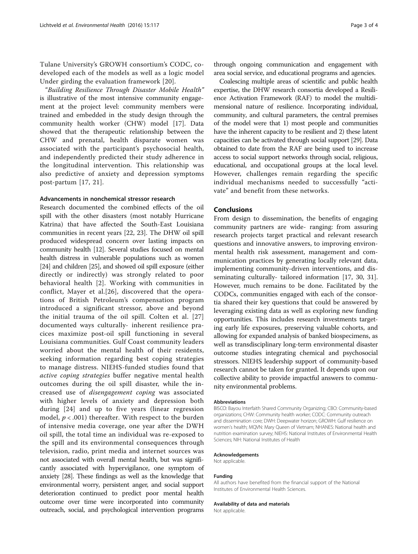Tulane University's GROWH consortium's CODC, codeveloped each of the models as well as a logic model Under girding the evaluation framework [[20](#page-3-0)].

"Building Resilience Through Disaster Mobile Health" is illustrative of the most intensive community engagement at the project level: community members were trained and embedded in the study design through the community health worker (CHW) model [[17](#page-3-0)]. Data showed that the therapeutic relationship between the CHW and prenatal, health disparate women was associated with the participant's psychosocial health, and independently predicted their study adherence in the longitudinal intervention. This relationship was also predictive of anxiety and depression symptoms post-partum [[17](#page-3-0), [21](#page-3-0)].

## Advancements in nonchemical stressor research

Research documented the combined effects of the oil spill with the other disasters (most notably Hurricane Katrina) that have affected the South-East Louisiana communities in recent years [[22, 23\]](#page-3-0). The DHW oil spill produced widespread concern over lasting impacts on community health [\[12\]](#page-3-0). Several studies focused on mental health distress in vulnerable populations such as women [[24](#page-3-0)] and children [[25](#page-3-0)], and showed oil spill exposure (either directly or indirectly) was strongly related to poor behavioral health [[2](#page-3-0)]. Working with communities in conflict, Mayer et al.[[26](#page-3-0)], discovered that the operations of British Petroleum's compensation program introduced a significant stressor, above and beyond the initial trauma of the oil spill. Colten et al. [\[27](#page-3-0)] documented ways culturally- inherent resilience pracices maximize post-oil spill functioning in several Louisiana communities. Gulf Coast community leaders worried about the mental health of their residents, seeking information regarding best coping strategies to manage distress. NIEHS-funded studies found that active coping strategies buffer negative mental health outcomes during the oil spill disaster, while the increased use of disengagement coping was associated with higher levels of anxiety and depression both during [[24](#page-3-0)] and up to five years (linear regression model,  $p < .001$ ) thereafter. With respect to the burden of intensive media coverage, one year after the DWH oil spill, the total time an individual was re-exposed to the spill and its environmental consequences through television, radio, print media and internet sources was not associated with overall mental health, but was significantly associated with hypervigilance, one symptom of anxiety [\[28\]](#page-3-0). These findings as well as the knowledge that environmental worry, persistent anger, and social support deterioration continued to predict poor mental health outcome over time were incorporated into community outreach, social, and psychological intervention programs through ongoing communication and engagement with area social service, and educational programs and agencies.

Coalescing multiple areas of scientific and public health expertise, the DHW research consortia developed a Resilience Activation Framework (RAF) to model the multidimensional nature of resilience. Incorporating individual, community, and cultural parameters, the central premises of the model were that 1) most people and communities have the inherent capacity to be resilient and 2) these latent capacities can be activated through social support [\[29\]](#page-3-0). Data obtained to date from the RAF are being used to increase access to social support networks through social, religious, educational, and occupational groups at the local level. However, challenges remain regarding the specific individual mechanisms needed to successfully "activate" and benefit from these networks.

### Conclusions

From design to dissemination, the benefits of engaging community partners are wide- ranging: from assuring research projects target practical and relevant research questions and innovative answers, to improving environmental health risk assessment, management and communication practices by generating locally relevant data, implementing community-driven interventions, and disseminating culturally- tailored information [\[17, 30](#page-3-0), [31](#page-3-0)]. However, much remains to be done. Facilitated by the CODCs, communities engaged with each of the consortia shared their key questions that could be answered by leveraging existing data as well as exploring new funding opportunities. This includes research investments targeting early life exposures, preserving valuable cohorts, and allowing for expanded analysis of banked biospecimens, as well as transdisciplinary long-term environmental disaster outcome studies integrating chemical and psychosocial stressors. NIEHS leadership support of community-based research cannot be taken for granted. It depends upon our collective ability to provide impactful answers to community environmental problems.

#### Abbreviations

BISCO: Bayou Interfaith Shared Community Organizing; CBO: Community-based organizations; CHW: Community health worker; CODC: Community outreach and dissemination core; DWH: Deepwater horizon; GROWH: Gulf resilience on women's health; MQVN: Mary Queen of Vietnam; NHANES: National health and nutrition examination survey; NIEHS: National Institutes of Environmental Health Sciences; NIH: National Institutes of Health

#### Acknowledgements

Not applicable.

#### Funding

All authors have benefited from the financial support of the National Institutes of Environmental Health Sciences.

#### Availability of data and materials

Not applicable.